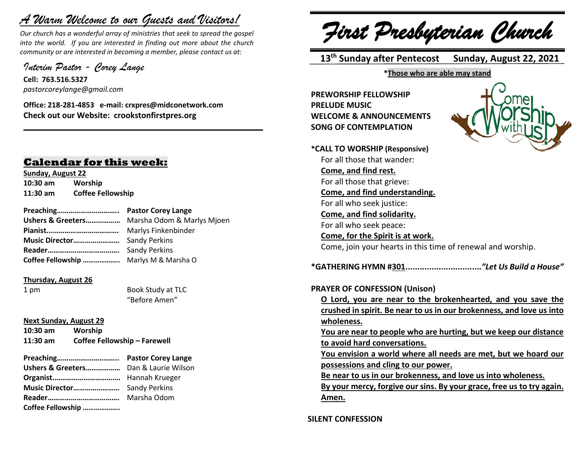# *A Warm Welcome to our Guests and Visitors!*

*Our church has a wonderful array of ministries that seek to spread the gospel into the world. If you are interested in finding out more about the church community or are interested in becoming a member, please contact us at:*

**\_\_\_\_\_\_\_\_\_\_\_\_\_\_\_\_\_\_\_\_\_\_\_\_\_\_\_\_\_\_\_\_\_\_\_\_\_\_\_\_\_\_\_\_\_\_\_\_\_\_\_\_\_\_**

*Interim Pastor - Corey Lange* 

**Cell: 763.516.5327** *pastorcoreylange@gmail.com*

**Office: 218-281-4853 e-mail: crxpres@midconetwork.com Check out our Website: crookstonfirstpres.org**

# **Calendar for this week:**

**Sunday, August 22 10:30 am Worship 11:30 am Coffee Fellowship**

|                                        | <b>Sandy Perkins</b> |
|----------------------------------------|----------------------|
| Coffee Fellowship  Marlys M & Marsha O |                      |

#### **Thursday, August 26**

1 pm Book Study at TLC "Before Amen"

#### **Next Sunday, August 29**

| $10:30$ am | Worship                      |
|------------|------------------------------|
| $11:30$ am | Coffee Fellowship - Farewell |

| Preaching         | <b>Pastor Corey Lange</b> |
|-------------------|---------------------------|
|                   |                           |
|                   |                           |
|                   |                           |
|                   | Marsha Odom               |
| Coffee Fellowship |                           |

*First Presbyterian Church*

 **13 th Sunday after Pentecost Sunday, August 22, 2021**

**\*Those who are able may stand**

**PREWORSHIP FELLOWSHIP PRELUDE MUSIC WELCOME & ANNOUNCEMENTS SONG OF CONTEMPLATION**



**\*CALL TO WORSHIP (Responsive)** For all those that wander: **Come, and find rest.** For all those that grieve: **Come, and find understanding.** For all who seek justice: **Come, and find solidarity.** For all who seek peace: **Come, for the Spirit is at work.** Come, join your hearts in this time of renewal and worship. **\*GATHERING HYMN #301................................***"Let Us Build a House"* **PRAYER OF CONFESSION (Unison) O Lord, you are near to the brokenhearted, and you save the crushed in spirit. Be near to us in our brokenness, and love us into wholeness. You are near to people who are hurting, but we keep our distance to avoid hard conversations. You envision a world where all needs are met, but we hoard our possessions and cling to our power. Be near to us in our brokenness, and love us into wholeness.**

**By your mercy, forgive our sins. By your grace, free us to try again. Amen.**

**SILENT CONFESSION**